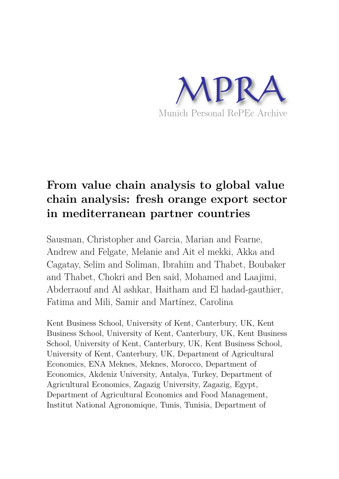

# **From value chain analysis to global value chain analysis: fresh orange export sector in mediterranean partner countries**

Sausman, Christopher and Garcia, Marian and Fearne, Andrew and Felgate, Melanie and Ait el mekki, Akka and Cagatay, Selim and Soliman, Ibrahim and Thabet, Boubaker and Thabet, Chokri and Ben saïd, Mohamed and Laajimi, Abderraouf and Al ashkar, Haitham and El hadad-gauthier, Fatima and Mili, Samir and Martínez, Carolina

Kent Business School, University of Kent, Canterbury, UK, Kent Business School, University of Kent, Canterbury, UK, Kent Business School, University of Kent, Canterbury, UK, Kent Business School, University of Kent, Canterbury, UK, Department of Agricultural Economics, ENA Meknes, Meknes, Morocco, Department of Economics, Akdeniz University, Antalya, Turkey, Department of Agricultural Economics, Zagazig University, Zagazig, Egypt, Department of Agricultural Economics and Food Management, Institut National Agronomique, Tunis, Tunisia, Department of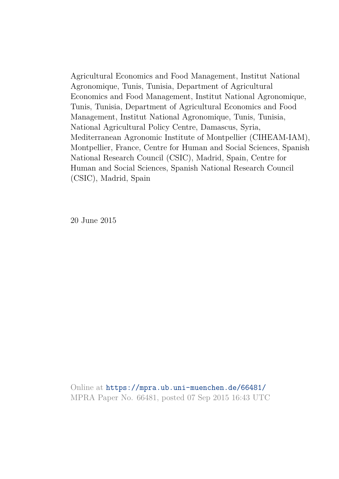Agricultural Economics and Food Management, Institut National Agronomique, Tunis, Tunisia, Department of Agricultural Economics and Food Management, Institut National Agronomique, Tunis, Tunisia, Department of Agricultural Economics and Food Management, Institut National Agronomique, Tunis, Tunisia, National Agricultural Policy Centre, Damascus, Syria, Mediterranean Agronomic Institute of Montpellier (CIHEAM-IAM), Montpellier, France, Centre for Human and Social Sciences, Spanish National Research Council (CSIC), Madrid, Spain, Centre for Human and Social Sciences, Spanish National Research Council (CSIC), Madrid, Spain

20 June 2015

Online at https://mpra.ub.uni-muenchen.de/66481/ MPRA Paper No. 66481, posted 07 Sep 2015 16:43 UTC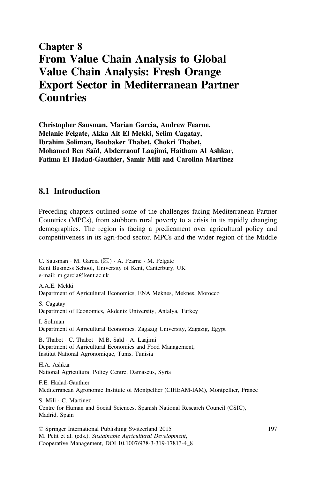## Chapter 8 From Value Chain Analysis to Global Value Chain Analysis: Fresh Orange Export Sector in Mediterranean Partner **Countries**

Christopher Sausman, Marian Garcia, Andrew Fearne, Melanie Felgate, Akka Ait El Mekki, Selim Cagatay, Ibrahim Soliman, Boubaker Thabet, Chokri Thabet, Mohamed Ben Saïd, Abderraouf Laajimi, Haitham Al Ashkar, Fatima El Hadad-Gauthier, Samir Mili and Carolina Martínez

#### 8.1 Introduction

Preceding chapters outlined some of the challenges facing Mediterranean Partner Countries (MPCs), from stubborn rural poverty to a crisis in its rapidly changing demographics. The region is facing a predicament over agricultural policy and competitiveness in its agri-food sector. MPCs and the wider region of the Middle

C. Sausman  $\cdot$  M. Garcia ( $\boxtimes$ )  $\cdot$  A. Fearne  $\cdot$  M. Felgate Kent Business School, University of Kent, Canterbury, UK e-mail: m.garcia@kent.ac.uk A.A.E. Mekki Department of Agricultural Economics, ENA Meknes, Meknes, Morocco S. Cagatay Department of Economics, Akdeniz University, Antalya, Turkey I. Soliman Department of Agricultural Economics, Zagazig University, Zagazig, Egypt B. Thabet · C. Thabet · M.B. Saïd · A. Laajimi Department of Agricultural Economics and Food Management, Institut National Agronomique, Tunis, Tunisia H.A. Ashkar National Agricultural Policy Centre, Damascus, Syria F.E. Hadad-Gauthier Mediterranean Agronomic Institute of Montpellier (CIHEAM-IAM), Montpellier, France S. Mili · C. Martínez Centre for Human and Social Sciences, Spanish National Research Council (CSIC), Madrid, Spain © Springer International Publishing Switzerland 2015 M. Petit et al. (eds.), *Sustainable Agricultural Development*, Cooperative Management, DOI 10.1007/978-3-319-17813-4\_8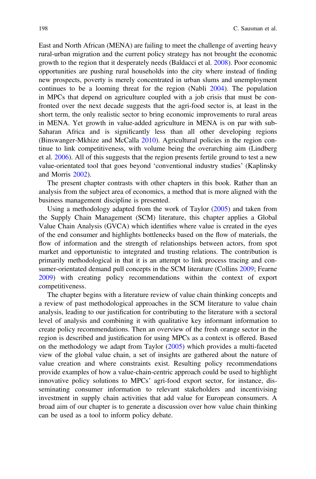East and North African (MENA) are failing to meet the challenge of averting heavy rural-urban migration and the current policy strategy has not brought the economic growth to the region that it desperately needs (Baldacci et al. [2008](#page-28-0)). Poor economic opportunities are pushing rural households into the city where instead of finding new prospects, poverty is merely concentrated in urban slums and unemployment continues to be a looming threat for the region (Nabli [2004](#page-29-0)). The population in MPCs that depend on agriculture coupled with a job crisis that must be confronted over the next decade suggests that the agri-food sector is, at least in the short term, the only realistic sector to bring economic improvements to rural areas in MENA. Yet growth in value-added agriculture in MENA is on par with sub-Saharan Africa and is significantly less than all other developing regions (Binswanger-Mkhize and McCalla [2010\)](#page-28-0). Agricultural policies in the region continue to link competitiveness, with volume being the overarching aim (Lindberg et al. [2006\)](#page-29-0). All of this suggests that the region presents fertile ground to test a new value-orientated tool that goes beyond 'conventional industry studies' (Kaplinsky and Morris [2002\)](#page-29-0).

The present chapter contrasts with other chapters in this book. Rather than an analysis from the subject area of economics, a method that is more aligned with the business management discipline is presented.

Using a methodology adapted from the work of Taylor [\(2005](#page-30-0)) and taken from the Supply Chain Management (SCM) literature, this chapter applies a Global Value Chain Analysis (GVCA) which identifies where value is created in the eyes of the end consumer and highlights bottlenecks based on the flow of materials, the flow of information and the strength of relationships between actors, from spot market and opportunistic to integrated and trusting relations. The contribution is primarily methodological in that it is an attempt to link process tracing and consumer-orientated demand pull concepts in the SCM literature (Collins [2009](#page-28-0); Fearne [2009\)](#page-28-0) with creating policy recommendations within the context of export competitiveness.

The chapter begins with a literature review of value chain thinking concepts and a review of past methodological approaches in the SCM literature to value chain analysis, leading to our justification for contributing to the literature with a sectoral level of analysis and combining it with qualitative key informant information to create policy recommendations. Then an overview of the fresh orange sector in the region is described and justification for using MPCs as a context is offered. Based on the methodology we adapt from Taylor ([2005\)](#page-30-0) which provides a multi-faceted view of the global value chain, a set of insights are gathered about the nature of value creation and where constraints exist. Resulting policy recommendations provide examples of how a value-chain-centric approach could be used to highlight innovative policy solutions to MPCs' agri-food export sector, for instance, disseminating consumer information to relevant stakeholders and incentivising investment in supply chain activities that add value for European consumers. A broad aim of our chapter is to generate a discussion over how value chain thinking can be used as a tool to inform policy debate.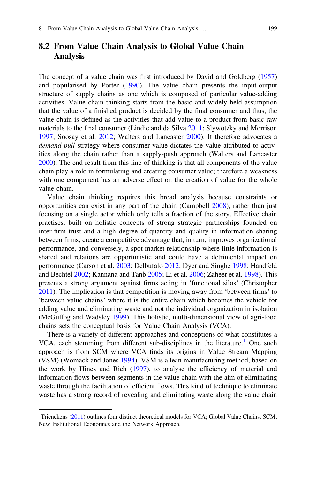#### 8.2 From Value Chain Analysis to Global Value Chain Analysis

The concept of a value chain was first introduced by David and Goldberg [\(1957](#page-28-0)) and popularised by Porter [\(1990](#page-29-0)). The value chain presents the input-output structure of supply chains as one which is composed of particular value-adding activities. Value chain thinking starts from the basic and widely held assumption that the value of a finished product is decided by the final consumer and thus, the value chain is defined as the activities that add value to a product from basic raw materials to the final consumer (Lindic and da Silva [2011;](#page-29-0) Slywotzky and Morrison [1997;](#page-30-0) Soosay et al. [2012;](#page-30-0) Walters and Lancaster [2000](#page-30-0)). It therefore advocates a *demand pull* strategy where consumer value dictates the value attributed to activities along the chain rather than a supply-push approach (Walters and Lancaster [2000\)](#page-30-0). The end result from this line of thinking is that all components of the value chain play a role in formulating and creating consumer value; therefore a weakness with one component has an adverse effect on the creation of value for the whole value chain.

Value chain thinking requires this broad analysis because constraints or opportunities can exist in any part of the chain (Campbell [2008\)](#page-28-0), rather than just focusing on a single actor which only tells a fraction of the story. Effective chain practises, built on holistic concepts of strong strategic partnerships founded on inter-firm trust and a high degree of quantity and quality in information sharing between firms, create a competitive advantage that, in turn, improves organizational performance, and conversely, a spot market relationship where little information is shared and relations are opportunistic and could have a detrimental impact on performance (Carson et al. [2003;](#page-28-0) Delbufalo [2012;](#page-28-0) Dyer and Singhe [1998](#page-28-0); Handfeld and Bechtel [2002](#page-29-0); Kannana and Tanb [2005;](#page-29-0) Li et al. [2006](#page-29-0); Zaheer et al. [1998\)](#page-30-0). This presents a strong argument against firms acting in 'functional silos' (Christopher [2011\)](#page-28-0). The implication is that competition is moving away from 'between firms' to 'between value chains' where it is the entire chain which becomes the vehicle for adding value and eliminating waste and not the individual organization in isolation (McGuffog and Wadsley [1999](#page-29-0)). This holistic, multi-dimensional view of agri-food chains sets the conceptual basis for Value Chain Analysis (VCA).

There is a variety of different approaches and conceptions of what constitutes a VCA, each stemming from different sub-disciplines in the literature.<sup>1</sup> One such approach is from SCM where VCA finds its origins in Value Stream Mapping (VSM) (Womack and Jones [1994\)](#page-30-0). VSM is a lean manufacturing method, based on the work by Hines and Rich [\(1997](#page-29-0)), to analyse the efficiency of material and information flows between segments in the value chain with the aim of eliminating waste through the facilitation of efficient flows. This kind of technique to eliminate waste has a strong record of revealing and eliminating waste along the value chain

<sup>&</sup>lt;sup>1</sup>Trienekens [\(2011](#page-30-0)) outlines four distinct theoretical models for VCA; Global Value Chains, SCM, New Institutional Economics and the Network Approach.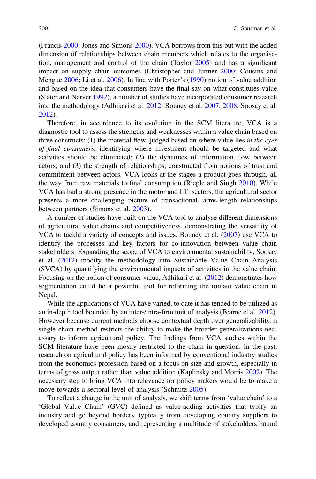(Francis [2000;](#page-28-0) Jones and Simons [2000](#page-29-0)). VCA borrows from this but with the added dimension of relationships between chain members which relates to the organisation, management and control of the chain (Taylor [2005](#page-30-0)) and has a significant impact on supply chain outcomes (Christopher and Juttner [2000;](#page-28-0) Cousins and Menguc [2006](#page-28-0); Li et al. [2006\)](#page-29-0). In line with Porter's ([1990\)](#page-29-0) notion of value addition and based on the idea that consumers have the final say on what constitutes value (Slater and Narver [1992](#page-30-0)), a number of studies have incorporated consumer research into the methodology (Adhikari et al. [2012](#page-27-0); Bonney et al. [2007,](#page-28-0) [2008;](#page-28-0) Soosay et al. [2012\)](#page-30-0).

Therefore, in accordance to its evolution in the SCM literature, VCA is a diagnostic tool to assess the strengths and weaknesses within a value chain based on three constructs: (1) the material flow, judged based on where value lies *in the eyes of* fi*nal consumers*, identifying where investment should be targeted and what activities should be eliminated; (2) the dynamics of information flow between actors; and (3) the strength of relationships, constructed from notions of trust and commitment between actors. VCA looks at the stages a product goes through, all the way from raw materials to final consumption (Rieple and Singh [2010](#page-29-0)). While VCA has had a strong presence in the motor and I.T. sectors, the agricultural sector presents a more challenging picture of transactional, arms-length relationships between partners (Simons et al. [2003\)](#page-29-0).

A number of studies have built on the VCA tool to analyse different dimensions of agricultural value chains and competitiveness, demonstrating the versatility of VCA to tackle a variety of concepts and issues. Bonney et al. ([2007\)](#page-28-0) use VCA to identify the processes and key factors for co-innovation between value chain stakeholders. Expanding the scope of VCA to environmental sustainability, Soosay et al. [\(2012](#page-30-0)) modify the methodology into Sustainable Value Chain Analysis (SVCA) by quantifying the environmental impacts of activities in the value chain. Focusing on the notion of consumer value, Adhikari et al. [\(2012](#page-27-0)) demonstrates how segmentation could be a powerful tool for reforming the tomato value chain in Nepal.

While the applications of VCA have varied, to date it has tended to be utilized as an in-depth tool bounded by an inter-/intra-firm unit of analysis (Fearne et al. [2012\)](#page-28-0). However because current methods choose contextual depth over generalizability, a single chain method restricts the ability to make the broader generalizations necessary to inform agricultural policy. The findings from VCA studies within the SCM literature have been mostly restricted to the chain in question. In the past, research on agricultural policy has been informed by conventional industry studies from the economics profession based on a focus on size and growth, especially in terms of gross output rather than value addition (Kaplinsky and Morris [2002](#page-29-0)). The necessary step to bring VCA into relevance for policy makers would be to make a move towards a sectoral level of analysis (Schmitz [2005](#page-29-0)).

To reflect a change in the unit of analysis, we shift terms from 'value chain' to a 'Global Value Chain' (GVC) defined as value-adding activities that typify an industry and go beyond borders, typically from developing country suppliers to developed country consumers, and representing a multitude of stakeholders bound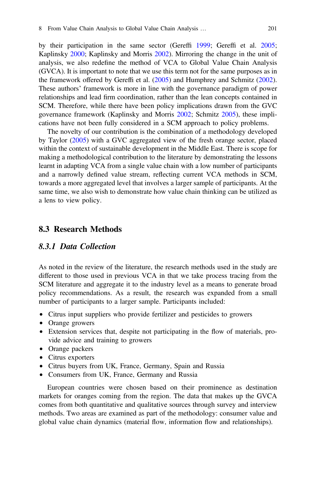by their participation in the same sector (Gereffi [1999;](#page-28-0) Gereffi et al. [2005;](#page-29-0) Kaplinsky [2000;](#page-29-0) Kaplinsky and Morris [2002](#page-29-0)). Mirroring the change in the unit of analysis, we also redefine the method of VCA to Global Value Chain Analysis (GVCA). It is important to note that we use this term not for the same purposes as in the framework offered by Gereffi et al. ([2005\)](#page-29-0) and Humphrey and Schmitz ([2002\)](#page-29-0). These authors' framework is more in line with the governance paradigm of power relationships and lead firm coordination, rather than the lean concepts contained in SCM. Therefore, while there have been policy implications drawn from the GVC governance framework (Kaplinsky and Morris [2002](#page-29-0); Schmitz [2005](#page-29-0)), these implications have not been fully considered in a SCM approach to policy problems.

The novelty of our contribution is the combination of a methodology developed by Taylor [\(2005](#page-30-0)) with a GVC aggregated view of the fresh orange sector, placed within the context of sustainable development in the Middle East. There is scope for making a methodological contribution to the literature by demonstrating the lessons learnt in adapting VCA from a single value chain with a low number of participants and a narrowly defined value stream, reflecting current VCA methods in SCM, towards a more aggregated level that involves a larger sample of participants. At the same time, we also wish to demonstrate how value chain thinking can be utilized as a lens to view policy.

#### 8.3 Research Methods

#### 8.3.1 Data Collection

As noted in the review of the literature, the research methods used in the study are different to those used in previous VCA in that we take process tracing from the SCM literature and aggregate it to the industry level as a means to generate broad policy recommendations. As a result, the research was expanded from a small number of participants to a larger sample. Participants included:

- Citrus input suppliers who provide fertilizer and pesticides to growers
- Orange growers
- Extension services that, despite not participating in the flow of materials, provide advice and training to growers
- Orange packers
- Citrus exporters
- Citrus buyers from UK, France, Germany, Spain and Russia
- Consumers from UK, France, Germany and Russia

European countries were chosen based on their prominence as destination markets for oranges coming from the region. The data that makes up the GVCA comes from both quantitative and qualitative sources through survey and interview methods. Two areas are examined as part of the methodology: consumer value and global value chain dynamics (material flow, information flow and relationships).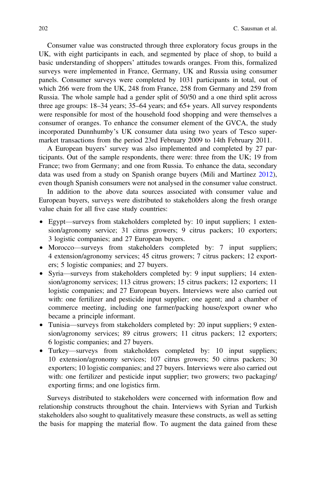Consumer value was constructed through three exploratory focus groups in the UK, with eight participants in each, and segmented by place of shop, to build a basic understanding of shoppers' attitudes towards oranges. From this, formalized surveys were implemented in France, Germany, UK and Russia using consumer panels. Consumer surveys were completed by 1031 participants in total, out of which 266 were from the UK, 248 from France, 258 from Germany and 259 from Russia. The whole sample had a gender split of 50/50 and a one third split across three age groups: 18–34 years; 35–64 years; and 65+ years. All survey respondents were responsible for most of the household food shopping and were themselves a consumer of oranges. To enhance the consumer element of the GVCA, the study incorporated Dunnhumby's UK consumer data using two years of Tesco supermarket transactions from the period 23rd February 2009 to 14th February 2011.

A European buyers' survey was also implemented and completed by 27 participants. Out of the sample respondents, there were: three from the UK; 19 from France; two from Germany; and one from Russia. To enhance the data, secondary data was used from a study on Spanish orange buyers (Mili and Martínez [2012\)](#page-29-0), even though Spanish consumers were not analysed in the consumer value construct.

In addition to the above data sources associated with consumer value and European buyers, surveys were distributed to stakeholders along the fresh orange value chain for all five case study countries:

- Egypt—surveys from stakeholders completed by: 10 input suppliers; 1 extension/agronomy service; 31 citrus growers; 9 citrus packers; 10 exporters; 3 logistic companies; and 27 European buyers.
- Morocco—surveys from stakeholders completed by: 7 input suppliers; 4 extension/agronomy services; 45 citrus growers; 7 citrus packers; 12 exporters; 5 logistic companies; and 27 buyers.
- Syria—surveys from stakeholders completed by: 9 input suppliers; 14 extension/agronomy services; 113 citrus growers; 15 citrus packers; 12 exporters; 11 logistic companies; and 27 European buyers. Interviews were also carried out with: one fertilizer and pesticide input supplier; one agent; and a chamber of commerce meeting, including one farmer/packing house/export owner who became a principle informant.
- Tunisia—surveys from stakeholders completed by: 20 input suppliers; 9 extension/agronomy services; 89 citrus growers; 11 citrus packers; 12 exporters; 6 logistic companies; and 27 buyers.
- Turkey—surveys from stakeholders completed by: 10 input suppliers; 10 extension/agronomy services; 107 citrus growers; 50 citrus packers; 30 exporters; 10 logistic companies; and 27 buyers. Interviews were also carried out with: one fertilizer and pesticide input supplier; two growers; two packaging/ exporting firms; and one logistics firm.

Surveys distributed to stakeholders were concerned with information flow and relationship constructs throughout the chain. Interviews with Syrian and Turkish stakeholders also sought to qualitatively measure these constructs, as well as setting the basis for mapping the material flow. To augment the data gained from these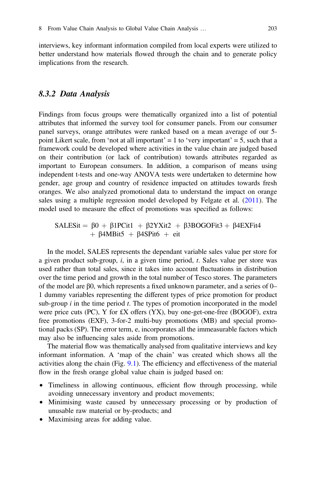interviews, key informant information compiled from local experts were utilized to better understand how materials flowed through the chain and to generate policy implications from the research.

#### 8.3.2 Data Analysis

Findings from focus groups were thematically organized into a list of potential attributes that informed the survey tool for consumer panels. From our consumer panel surveys, orange attributes were ranked based on a mean average of our 5 point Likert scale, from 'not at all important'  $= 1$  to 'very important'  $= 5$ , such that a framework could be developed where activities in the value chain are judged based on their contribution (or lack of contribution) towards attributes regarded as important to European consumers. In addition, a comparison of means using independent t-tests and one-way ANOVA tests were undertaken to determine how gender, age group and country of residence impacted on attitudes towards fresh oranges. We also analyzed promotional data to understand the impact on orange sales using a multiple regression model developed by Felgate et al. [\(2011](#page-28-0)). The model used to measure the effect of promotions was specified as follows:

SALESit = 
$$
\beta 0
$$
 +  $\beta$ 1PCit1 +  $\beta$ 2YXit2 +  $\beta$ 3BOGOFit3 +  $\beta$ 4EXFit4  
+  $\beta$ 4MBit5 +  $\beta$ 4SPit6 + et

In the model, SALES represents the dependant variable sales value per store for a given product sub-group, *i*, in a given time period, *t*. Sales value per store was used rather than total sales, since it takes into account fluctuations in distribution over the time period and growth in the total number of Tesco stores. The parameters of the model are β0, which represents a fixed unknown parameter, and a series of 0– 1 dummy variables representing the different types of price promotion for product sub-group *i* in the time period *t*. The types of promotion incorporated in the model were price cuts (PC), Y for £X offers (YX), buy one-get-one-free (BOGOF), extra free promotions (EXF), 3-for-2 multi-buy promotions (MB) and special promotional packs (SP). The error term, e, incorporates all the immeasurable factors which may also be influencing sales aside from promotions.

The material flow was thematically analysed from qualitative interviews and key informant information. A 'map of the chain' was created which shows all the activities along the chain (Fig.  $9.1$ ). The efficiency and effectiveness of the material flow in the fresh orange global value chain is judged based on:

- Timeliness in allowing continuous, efficient flow through processing, while avoiding unnecessary inventory and product movements;
- Minimising waste caused by unnecessary processing or by production of unusable raw material or by-products; and
- Maximising areas for adding value.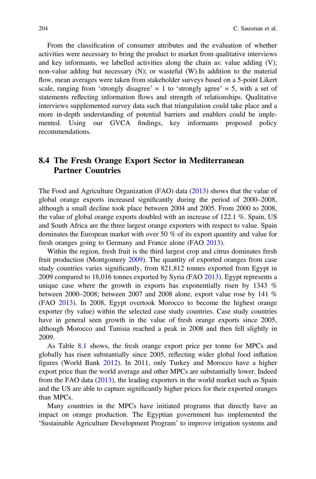From the classification of consumer attributes and the evaluation of whether activities were necessary to bring the product to market from qualitative interviews and key informants, we labelled activities along the chain as: value adding (V); non-value adding but necessary (N); or wasteful (W).In addition to the material flow, mean averages were taken from stakeholder surveys based on a 5-point Likert scale, ranging from 'strongly disagree' = 1 to 'strongly agree' = 5, with a set of statements reflecting information flows and strength of relationships. Qualitative interviews supplemented survey data such that triangulation could take place and a more in-depth understanding of potential barriers and enablers could be implemented. Using our GVCA findings, key informants proposed policy recommendations.

#### 8.4 The Fresh Orange Export Sector in Mediterranean Partner Countries

The Food and Agriculture Organization (FAO) data ([2013\)](#page-28-0) shows that the value of global orange exports increased significantly during the period of 2000–2008, although a small decline took place between 2004 and 2005. From 2000 to 2008, the value of global orange exports doubled with an increase of 122.1 %. Spain, US and South Africa are the three largest orange exporters with respect to value. Spain dominates the European market with over 50 % of its export quantity and value for fresh oranges going to Germany and France alone (FAO [2013\)](#page-28-0).

Within the region, fresh fruit is the third largest crop and citrus dominates fresh fruit production (Montgomery [2009\)](#page-29-0). The quantity of exported oranges from case study countries varies significantly, from 821,812 tonnes exported from Egypt in 2009 compared to 18,016 tonnes exported by Syria (FAO [2013](#page-28-0)). Egypt represents a unique case where the growth in exports has exponentially risen by 1343 % between 2000–2008; between 2007 and 2008 alone, export value rose by 141 % (FAO [2013\)](#page-28-0). In 2008, Egypt overtook Morocco to become the highest orange exporter (by value) within the selected case study countries. Case study countries have in general seen growth in the value of fresh orange exports since 2005, although Morocco and Tunisia reached a peak in 2008 and then fell slightly in 2009.

As Table [8.1](#page-10-0) shows, the fresh orange export price per tonne for MPCs and globally has risen substantially since 2005, reflecting wider global food inflation figures (World Bank [2012\)](#page-30-0). In 2011, only Turkey and Morocco have a higher export price than the world average and other MPCs are substantially lower. Indeed from the FAO data [\(2013](#page-28-0)), the leading exporters in the world market such as Spain and the US are able to capture significantly higher prices for their exported oranges than MPCs.

Many countries in the MPCs have initiated programs that directly have an impact on orange production. The Egyptian government has implemented the 'Sustainable Agriculture Development Program' to improve irrigation systems and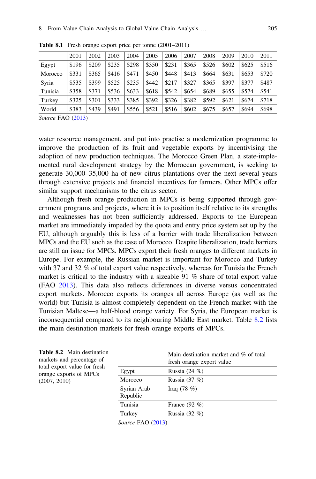|         | 2001  | 2002  | 2003  | 2004  | 2005  | 2006  | 2007  | 2008  | 2009  | 2010  | 2011  |
|---------|-------|-------|-------|-------|-------|-------|-------|-------|-------|-------|-------|
| Egypt   | \$196 | \$209 | \$235 | \$298 | \$350 | \$231 | \$365 | \$526 | \$602 | \$625 | \$516 |
| Morocco | \$331 | \$365 | \$416 | \$471 | \$450 | \$448 | \$413 | \$664 | \$631 | \$653 | \$720 |
| Syria   | \$535 | \$399 | \$525 | \$235 | \$442 | \$217 | \$327 | \$365 | \$397 | \$377 | \$487 |
| Tunisia | \$358 | \$371 | \$536 | \$633 | \$618 | \$542 | \$654 | \$689 | \$655 | \$574 | \$541 |
| Turkey  | \$325 | \$301 | \$333 | \$385 | \$392 | \$326 | \$382 | \$592 | \$621 | \$674 | \$718 |
| World   | \$383 | \$439 | \$491 | \$556 | \$521 | \$516 | \$602 | \$675 | \$657 | \$694 | \$698 |
|         |       |       |       |       |       |       |       |       |       |       |       |

<span id="page-10-0"></span>Table 8.1 Fresh orange export price per tonne (2001–2011)

*Source* FAO [\(2013](#page-28-0))

water resource management, and put into practise a modernization programme to improve the production of its fruit and vegetable exports by incentivising the adoption of new production techniques. The Morocco Green Plan, a state-implemented rural development strategy by the Moroccan government, is seeking to generate 30,000–35,000 ha of new citrus plantations over the next several years through extensive projects and financial incentives for farmers. Other MPCs offer similar support mechanisms to the citrus sector.

Although fresh orange production in MPCs is being supported through government programs and projects, where it is to position itself relative to its strengths and weaknesses has not been sufficiently addressed. Exports to the European market are immediately impeded by the quota and entry price system set up by the EU, although arguably this is less of a barrier with trade liberalization between MPCs and the EU such as the case of Morocco. Despite liberalization, trade barriers are still an issue for MPCs. MPCs export their fresh oranges to different markets in Europe. For example, the Russian market is important for Morocco and Turkey with 37 and 32 % of total export value respectively, whereas for Tunisia the French market is critical to the industry with a sizeable 91 % share of total export value (FAO [2013\)](#page-28-0). This data also reflects differences in diverse versus concentrated export markets. Morocco exports its oranges all across Europe (as well as the world) but Tunisia is almost completely dependent on the French market with the Tunisian Maltese—a half-blood orange variety. For Syria, the European market is inconsequential compared to its neighbouring Middle East market. Table 8.2 lists the main destination markets for fresh orange exports of MPCs.

| Table 8.2 Main destinatio    |  |
|------------------------------|--|
| markets and percentage of    |  |
| total export value for fresh |  |
| orange exports of MPCs       |  |
| (2007, 2010)                 |  |

|                         | Main destination market and % of total<br>fresh orange export value |
|-------------------------|---------------------------------------------------------------------|
| Egypt                   | Russia $(24 \%)$                                                    |
| Morocco                 | Russia $(37 \%)$                                                    |
| Syrian Arab<br>Republic | Iraq $(78\%)$                                                       |
| Tunisia                 | France $(92 \%)$                                                    |
| Turkey                  | Russia $(32 \%)$                                                    |
|                         |                                                                     |

*Source* FAO [\(2013\)](#page-28-0)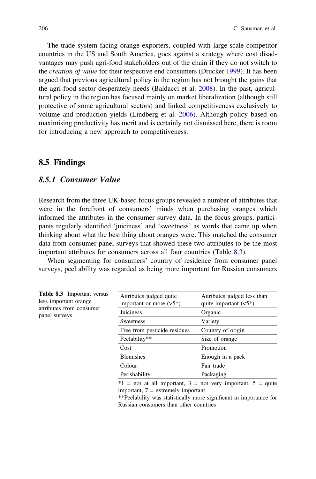The trade system facing orange exporters, coupled with large-scale competitor countries in the US and South America, goes against a strategy where cost disadvantages may push agri-food stakeholders out of the chain if they do not switch to the *creation of value* for their respective end consumers (Drucker [1999](#page-28-0)). It has been argued that previous agricultural policy in the region has not brought the gains that the agri-food sector desperately needs (Baldacci et al. [2008](#page-28-0)). In the past, agricultural policy in the region has focused mainly on market liberalization (although still protective of some agricultural sectors) and linked competitiveness exclusively to volume and production yields (Lindberg et al. [2006\)](#page-29-0). Although policy based on maximising productivity has merit and is certainly not dismissed here, there is room for introducing a new approach to competitiveness.

#### 8.5 Findings

#### 8.5.1 Consumer Value

Research from the three UK-based focus groups revealed a number of attributes that were in the forefront of consumers' minds when purchasing oranges which informed the attributes in the consumer survey data. In the focus groups, participants regularly identified 'juiciness' and 'sweetness' as words that came up when thinking about what the best thing about oranges were. This matched the consumer data from consumer panel surveys that showed these two attributes to be the most important attributes for consumers across all four countries (Table 8.3).

When segmenting for consumers' country of residence from consumer panel surveys, peel ability was regarded as being more important for Russian consumers

| Table 8.3 Important versus<br>less important orange | Attributes judged quite<br>important or more $(>5^*)$ | Attributes judged less than<br>quite important $(<5^*)$ |
|-----------------------------------------------------|-------------------------------------------------------|---------------------------------------------------------|
| attributes from consumer<br>panel surveys           | Juiciness                                             | Organic                                                 |
|                                                     | Sweetness                                             | Variety                                                 |
|                                                     | Free from pesticide residues                          | Country of origin                                       |
|                                                     | Peelability**                                         | Size of orange                                          |
|                                                     | Cost                                                  | Promotion                                               |
|                                                     | <b>Blemishes</b>                                      | Enough in a pack                                        |
|                                                     | Colour                                                | Fair trade                                              |
|                                                     | Perishability                                         | Packaging                                               |

 $*1$  = not at all important, 3 = not very important, 5 = quite  $important, 7 = extremely important$ 

\*\*Peelability was statistically more significant in importance for Russian consumers than other countries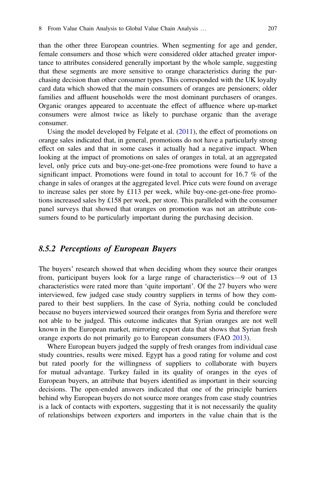than the other three European countries. When segmenting for age and gender, female consumers and those which were considered older attached greater importance to attributes considered generally important by the whole sample, suggesting that these segments are more sensitive to orange characteristics during the purchasing decision than other consumer types. This corresponded with the UK loyalty card data which showed that the main consumers of oranges are pensioners; older families and affluent households were the most dominant purchasers of oranges. Organic oranges appeared to accentuate the effect of affluence where up-market consumers were almost twice as likely to purchase organic than the average consumer.

Using the model developed by Felgate et al.  $(2011)$  $(2011)$ , the effect of promotions on orange sales indicated that, in general, promotions do not have a particularly strong effect on sales and that in some cases it actually had a negative impact. When looking at the impact of promotions on sales of oranges in total, at an aggregated level, only price cuts and buy-one-get-one-free promotions were found to have a significant impact. Promotions were found in total to account for 16.7 % of the change in sales of oranges at the aggregated level. Price cuts were found on average to increase sales per store by £113 per week, while buy-one-get-one-free promotions increased sales by £158 per week, per store. This paralleled with the consumer panel surveys that showed that oranges on promotion was not an attribute consumers found to be particularly important during the purchasing decision.

#### 8.5.2 Perceptions of European Buyers

The buyers' research showed that when deciding whom they source their oranges from, participant buyers look for a large range of characteristics—9 out of 13 characteristics were rated more than 'quite important'. Of the 27 buyers who were interviewed, few judged case study country suppliers in terms of how they compared to their best suppliers. In the case of Syria, nothing could be concluded because no buyers interviewed sourced their oranges from Syria and therefore were not able to be judged. This outcome indicates that Syrian oranges are not well known in the European market, mirroring export data that shows that Syrian fresh orange exports do not primarily go to European consumers (FAO [2013](#page-28-0)).

Where European buyers judged the supply of fresh oranges from individual case study countries, results were mixed. Egypt has a good rating for volume and cost but rated poorly for the willingness of suppliers to collaborate with buyers for mutual advantage. Turkey failed in its quality of oranges in the eyes of European buyers, an attribute that buyers identified as important in their sourcing decisions. The open-ended answers indicated that one of the principle barriers behind why European buyers do not source more oranges from case study countries is a lack of contacts with exporters, suggesting that it is not necessarily the quality of relationships between exporters and importers in the value chain that is the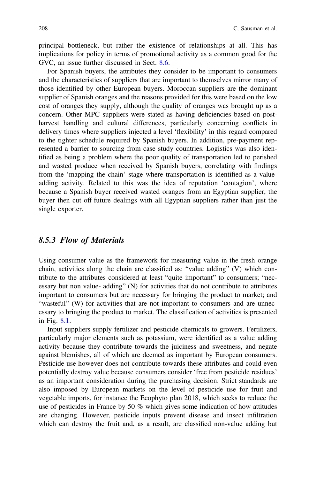principal bottleneck, but rather the existence of relationships at all. This has implications for policy in terms of promotional activity as a common good for the GVC, an issue further discussed in Sect. [8.6](#page-16-0).

For Spanish buyers, the attributes they consider to be important to consumers and the characteristics of suppliers that are important to themselves mirror many of those identified by other European buyers. Moroccan suppliers are the dominant supplier of Spanish oranges and the reasons provided for this were based on the low cost of oranges they supply, although the quality of oranges was brought up as a concern. Other MPC suppliers were stated as having deficiencies based on postharvest handling and cultural differences, particularly concerning conflicts in delivery times where suppliers injected a level 'flexibility' in this regard compared to the tighter schedule required by Spanish buyers. In addition, pre-payment represented a barrier to sourcing from case study countries. Logistics was also identified as being a problem where the poor quality of transportation led to perished and wasted produce when received by Spanish buyers, correlating with findings from the 'mapping the chain' stage where transportation is identified as a valueadding activity. Related to this was the idea of reputation 'contagion', where because a Spanish buyer received wasted oranges from an Egyptian supplier, the buyer then cut off future dealings with all Egyptian suppliers rather than just the single exporter.

#### 8.5.3 Flow of Materials

Using consumer value as the framework for measuring value in the fresh orange chain, activities along the chain are classified as: "value adding" (V) which contribute to the attributes considered at least "quite important" to consumers; "necessary but non value- adding" (N) for activities that do not contribute to attributes important to consumers but are necessary for bringing the product to market; and "wasteful" (W) for activities that are not important to consumers and are unnecessary to bringing the product to market. The classification of activities is presented in Fig. [8.1](#page-14-0).

Input suppliers supply fertilizer and pesticide chemicals to growers. Fertilizers, particularly major elements such as potassium, were identified as a value adding activity because they contribute towards the juiciness and sweetness, and negate against blemishes, all of which are deemed as important by European consumers. Pesticide use however does not contribute towards these attributes and could even potentially destroy value because consumers consider 'free from pesticide residues' as an important consideration during the purchasing decision. Strict standards are also imposed by European markets on the level of pesticide use for fruit and vegetable imports, for instance the Ecophyto plan 2018, which seeks to reduce the use of pesticides in France by 50 % which gives some indication of how attitudes are changing. However, pesticide inputs prevent disease and insect infiltration which can destroy the fruit and, as a result, are classified non-value adding but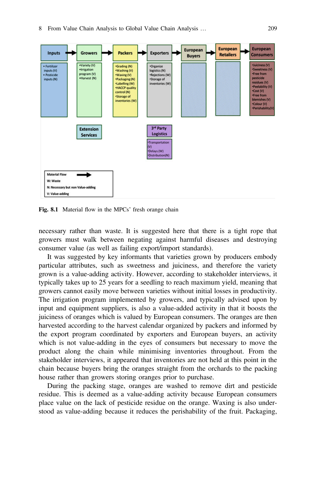<span id="page-14-0"></span>

Fig. 8.1 Material flow in the MPCs' fresh orange chain

necessary rather than waste. It is suggested here that there is a tight rope that growers must walk between negating against harmful diseases and destroying consumer value (as well as failing export/import standards).

It was suggested by key informants that varieties grown by producers embody particular attributes, such as sweetness and juiciness, and therefore the variety grown is a value-adding activity. However, according to stakeholder interviews, it typically takes up to 25 years for a seedling to reach maximum yield, meaning that growers cannot easily move between varieties without initial losses in productivity. The irrigation program implemented by growers, and typically advised upon by input and equipment suppliers, is also a value-added activity in that it boosts the juiciness of oranges which is valued by European consumers. The oranges are then harvested according to the harvest calendar organized by packers and informed by the export program coordinated by exporters and European buyers, an activity which is not value-adding in the eyes of consumers but necessary to move the product along the chain while minimising inventories throughout. From the stakeholder interviews, it appeared that inventories are not held at this point in the chain because buyers bring the oranges straight from the orchards to the packing house rather than growers storing oranges prior to purchase.

During the packing stage, oranges are washed to remove dirt and pesticide residue. This is deemed as a value-adding activity because European consumers place value on the lack of pesticide residue on the orange. Waxing is also understood as value-adding because it reduces the perishability of the fruit. Packaging,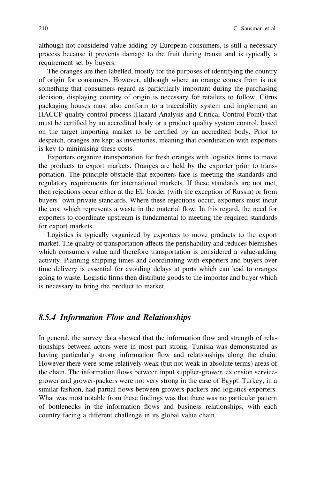although not considered value-adding by European consumers, is still a necessary process because it prevents damage to the fruit during transit and is typically a requirement set by buyers.

The oranges are then labelled, mostly for the purposes of identifying the country of origin for consumers. However, although where an orange comes from is not something that consumers regard as particularly important during the purchasing decision, displaying country of origin is necessary for retailers to follow. Citrus packaging houses must also conform to a traceability system and implement an HACCP quality control process (Hazard Analysis and Critical Control Point) that must be certified by an accredited body or a product quality system control, based on the target importing market to be certified by an accredited body. Prior to despatch, oranges are kept as inventories, meaning that coordination with exporters is key to minimising these costs.

Exporters organize transportation for fresh oranges with logistics firms to move the products to export markets. Oranges are held by the exporter prior to transportation. The principle obstacle that exporters face is meeting the standards and regulatory requirements for international markets. If these standards are not met, then rejections occur either at the EU border (with the exception of Russia) or from buyers' own private standards. Where these rejections occur, exporters must incur the cost which represents a waste in the material flow. In this regard, the need for exporters to coordinate upstream is fundamental to meeting the required standards for export markets.

Logistics is typically organized by exporters to move products to the export market. The quality of transportation affects the perishability and reduces blemishes which consumers value and therefore transportation is considered a value-adding activity. Planning shipping times and coordinating with exporters and buyers over time delivery is essential for avoiding delays at ports which can lead to oranges going to waste. Logistic firms then distribute goods to the importer and buyer which is necessary to bring the product to market.

#### 8.5.4 Information Flow and Relationships

In general, the survey data showed that the information flow and strength of relationships between actors were in most part strong. Tunisia was demonstrated as having particularly strong information flow and relationships along the chain. However there were some relatively weak (but not weak in absolute terms) areas of the chain. The information flows between input supplier-grower, extension servicegrower and grower-packers were not very strong in the case of Egypt. Turkey, in a similar fashion, had partial flows between growers-packers and logistics-exporters. What was most notable from these findings was that there was no particular pattern of bottlenecks in the information flows and business relationships, with each country facing a different challenge in its global value chain.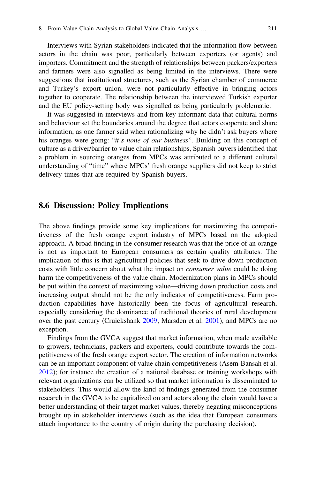<span id="page-16-0"></span>Interviews with Syrian stakeholders indicated that the information flow between actors in the chain was poor, particularly between exporters (or agents) and importers. Commitment and the strength of relationships between packers/exporters and farmers were also signalled as being limited in the interviews. There were suggestions that institutional structures, such as the Syrian chamber of commerce and Turkey's export union, were not particularly effective in bringing actors together to cooperate. The relationship between the interviewed Turkish exporter and the EU policy-setting body was signalled as being particularly problematic.

It was suggested in interviews and from key informant data that cultural norms and behaviour set the boundaries around the degree that actors cooperate and share information, as one farmer said when rationalizing why he didn't ask buyers where his oranges were going: "*it*'*s none of our business*". Building on this concept of culture as a driver/barrier to value chain relationships, Spanish buyers identified that a problem in sourcing oranges from MPCs was attributed to a different cultural understanding of "time" where MPCs' fresh orange suppliers did not keep to strict delivery times that are required by Spanish buyers.

#### 8.6 Discussion: Policy Implications

The above findings provide some key implications for maximizing the competitiveness of the fresh orange export industry of MPCs based on the adopted approach. A broad finding in the consumer research was that the price of an orange is not as important to European consumers as certain quality attributes. The implication of this is that agricultural policies that seek to drive down production costs with little concern about what the impact on *consumer value* could be doing harm the competitiveness of the value chain. Modernization plans in MPCs should be put within the context of maximizing value—driving down production costs and increasing output should not be the only indicator of competitiveness. Farm production capabilities have historically been the focus of agricultural research, especially considering the dominance of traditional theories of rural development over the past century (Cruickshank [2009;](#page-28-0) Marsden et al. [2001\)](#page-29-0), and MPCs are no exception.

Findings from the GVCA suggest that market information, when made available to growers, technicians, packers and exporters, could contribute towards the competitiveness of the fresh orange export sector. The creation of information networks can be an important component of value chain competitiveness (Asem-Bansah et al. [2012\)](#page-27-0); for instance the creation of a national database or training workshops with relevant organizations can be utilized so that market information is disseminated to stakeholders. This would allow the kind of findings generated from the consumer research in the GVCA to be capitalized on and actors along the chain would have a better understanding of their target market values, thereby negating misconceptions brought up in stakeholder interviews (such as the idea that European consumers attach importance to the country of origin during the purchasing decision).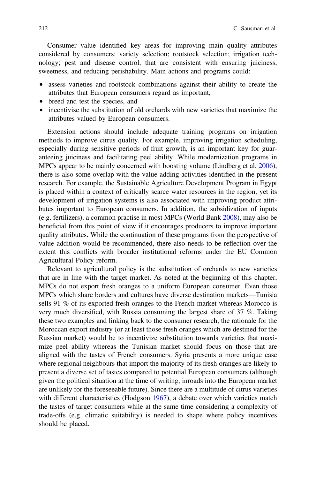Consumer value identified key areas for improving main quality attributes considered by consumers: variety selection; rootstock selection; irrigation technology; pest and disease control, that are consistent with ensuring juiciness, sweetness, and reducing perishability. Main actions and programs could:

- assess varieties and rootstock combinations against their ability to create the attributes that European consumers regard as important,
- breed and test the species, and
- incentivise the substitution of old orchards with new varieties that maximize the attributes valued by European consumers.

Extension actions should include adequate training programs on irrigation methods to improve citrus quality. For example, improving irrigation scheduling, especially during sensitive periods of fruit growth, is an important key for guaranteeing juiciness and facilitating peel ability. While modernization programs in MPCs appear to be mainly concerned with boosting volume (Lindberg et al. [2006\)](#page-29-0), there is also some overlap with the value-adding activities identified in the present research. For example, the Sustainable Agriculture Development Program in Egypt is placed within a context of critically scarce water resources in the region, yet its development of irrigation systems is also associated with improving product attributes important to European consumers. In addition, the subsidization of inputs (e.g. fertilizers), a common practise in most MPCs (World Bank [2008](#page-30-0)), may also be beneficial from this point of view if it encourages producers to improve important quality attributes. While the continuation of these programs from the perspective of value addition would be recommended, there also needs to be reflection over the extent this conflicts with broader institutional reforms under the EU Common Agricultural Policy reform.

Relevant to agricultural policy is the substitution of orchards to new varieties that are in line with the target market. As noted at the beginning of this chapter, MPCs do not export fresh oranges to a uniform European consumer. Even those MPCs which share borders and cultures have diverse destination markets—Tunisia sells 91 % of its exported fresh oranges to the French market whereas Morocco is very much diversified, with Russia consuming the largest share of 37 %. Taking these two examples and linking back to the consumer research, the rationale for the Moroccan export industry (or at least those fresh oranges which are destined for the Russian market) would be to incentivize substitution towards varieties that maximize peel ability whereas the Tunisian market should focus on those that are aligned with the tastes of French consumers. Syria presents a more unique case where regional neighbours that import the majority of its fresh oranges are likely to present a diverse set of tastes compared to potential European consumers (although given the political situation at the time of writing, inroads into the European market are unlikely for the foreseeable future). Since there are a multitude of citrus varieties with different characteristics (Hodgson [1967](#page-29-0)), a debate over which varieties match the tastes of target consumers while at the same time considering a complexity of trade-offs (e.g. climatic suitability) is needed to shape where policy incentives should be placed.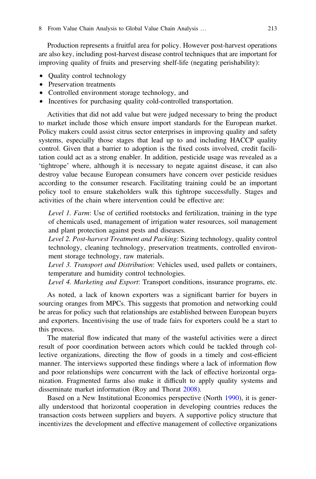Production represents a fruitful area for policy. However post-harvest operations are also key, including post-harvest disease control techniques that are important for improving quality of fruits and preserving shelf-life (negating perishability):

- Quality control technology
- Preservation treatments
- Controlled environment storage technology, and
- Incentives for purchasing quality cold-controlled transportation.

Activities that did not add value but were judged necessary to bring the product to market include those which ensure import standards for the European market. Policy makers could assist citrus sector enterprises in improving quality and safety systems, especially those stages that lead up to and including HACCP quality control. Given that a barrier to adoption is the fixed costs involved, credit facilitation could act as a strong enabler. In addition, pesticide usage was revealed as a 'tightrope' where, although it is necessary to negate against disease, it can also destroy value because European consumers have concern over pesticide residues according to the consumer research. Facilitating training could be an important policy tool to ensure stakeholders walk this tightrope successfully. Stages and activities of the chain where intervention could be effective are:

*Level 1. Farm*: Use of certified rootstocks and fertilization, training in the type of chemicals used, management of irrigation water resources, soil management and plant protection against pests and diseases.

*Level 2. Post*-*harvest Treatment and Packing*: Sizing technology, quality control technology, cleaning technology, preservation treatments, controlled environment storage technology, raw materials.

*Level 3. Transport and Distribution*: Vehicles used, used pallets or containers, temperature and humidity control technologies.

*Level 4. Marketing and Export*: Transport conditions, insurance programs, etc.

As noted, a lack of known exporters was a significant barrier for buyers in sourcing oranges from MPCs. This suggests that promotion and networking could be areas for policy such that relationships are established between European buyers and exporters. Incentivising the use of trade fairs for exporters could be a start to this process.

The material flow indicated that many of the wasteful activities were a direct result of poor coordination between actors which could be tackled through collective organizations, directing the flow of goods in a timely and cost-efficient manner. The interviews supported these findings where a lack of information flow and poor relationships were concurrent with the lack of effective horizontal organization. Fragmented farms also make it difficult to apply quality systems and disseminate market information (Roy and Thorat [2008\)](#page-29-0).

Based on a New Institutional Economics perspective (North [1990\)](#page-29-0), it is generally understood that horizontal cooperation in developing countries reduces the transaction costs between suppliers and buyers. A supportive policy structure that incentivizes the development and effective management of collective organizations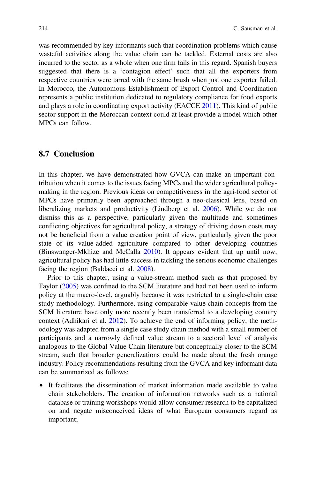was recommended by key informants such that coordination problems which cause wasteful activities along the value chain can be tackled. External costs are also incurred to the sector as a whole when one firm fails in this regard. Spanish buyers suggested that there is a 'contagion effect' such that all the exporters from respective countries were tarred with the same brush when just one exporter failed. In Morocco, the Autonomous Establishment of Export Control and Coordination represents a public institution dedicated to regulatory compliance for food exports and plays a role in coordinating export activity (EACCE [2011\)](#page-28-0). This kind of public sector support in the Moroccan context could at least provide a model which other MPCs can follow.

#### 8.7 Conclusion

In this chapter, we have demonstrated how GVCA can make an important contribution when it comes to the issues facing MPCs and the wider agricultural policymaking in the region. Previous ideas on competitiveness in the agri-food sector of MPCs have primarily been approached through a neo-classical lens, based on liberalizing markets and productivity (Lindberg et al. [2006](#page-29-0)). While we do not dismiss this as a perspective, particularly given the multitude and sometimes conflicting objectives for agricultural policy, a strategy of driving down costs may not be beneficial from a value creation point of view, particularly given the poor state of its value-added agriculture compared to other developing countries (Binswanger-Mkhize and McCalla [2010\)](#page-28-0). It appears evident that up until now, agricultural policy has had little success in tackling the serious economic challenges facing the region (Baldacci et al. [2008](#page-28-0)).

Prior to this chapter, using a value-stream method such as that proposed by Taylor [\(2005](#page-30-0)) was confined to the SCM literature and had not been used to inform policy at the macro-level, arguably because it was restricted to a single-chain case study methodology. Furthermore, using comparable value chain concepts from the SCM literature have only more recently been transferred to a developing country context (Adhikari et al.  $2012$ ). To achieve the end of informing policy, the methodology was adapted from a single case study chain method with a small number of participants and a narrowly defined value stream to a sectoral level of analysis analogous to the Global Value Chain literature but conceptually closer to the SCM stream, such that broader generalizations could be made about the fresh orange industry. Policy recommendations resulting from the GVCA and key informant data can be summarized as follows:

• It facilitates the dissemination of market information made available to value chain stakeholders. The creation of information networks such as a national database or training workshops would allow consumer research to be capitalized on and negate misconceived ideas of what European consumers regard as important;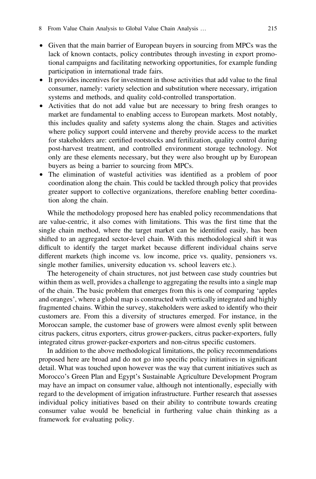- 8 From Value Chain Analysis to Global Value Chain Analysis … 215
- Given that the main barrier of European buyers in sourcing from MPCs was the lack of known contacts, policy contributes through investing in export promotional campaigns and facilitating networking opportunities, for example funding participation in international trade fairs.
- It provides incentives for investment in those activities that add value to the final consumer, namely: variety selection and substitution where necessary, irrigation systems and methods, and quality cold-controlled transportation.
- Activities that do not add value but are necessary to bring fresh oranges to market are fundamental to enabling access to European markets. Most notably, this includes quality and safety systems along the chain. Stages and activities where policy support could intervene and thereby provide access to the market for stakeholders are: certified rootstocks and fertilization, quality control during post-harvest treatment, and controlled environment storage technology. Not only are these elements necessary, but they were also brought up by European buyers as being a barrier to sourcing from MPCs.
- The elimination of wasteful activities was identified as a problem of poor coordination along the chain. This could be tackled through policy that provides greater support to collective organizations, therefore enabling better coordination along the chain.

While the methodology proposed here has enabled policy recommendations that are value-centric, it also comes with limitations. This was the first time that the single chain method, where the target market can be identified easily, has been shifted to an aggregated sector-level chain. With this methodological shift it was difficult to identify the target market because different individual chains serve different markets (high income vs. low income, price vs. quality, pensioners vs. single mother families, university education vs. school leavers etc.).

The heterogeneity of chain structures, not just between case study countries but within them as well, provides a challenge to aggregating the results into a single map of the chain. The basic problem that emerges from this is one of comparing 'apples and oranges', where a global map is constructed with vertically integrated and highly fragmented chains. Within the survey, stakeholders were asked to identify who their customers are. From this a diversity of structures emerged. For instance, in the Moroccan sample, the customer base of growers were almost evenly split between citrus packers, citrus exporters, citrus grower-packers, citrus packer-exporters, fully integrated citrus grower-packer-exporters and non-citrus specific customers.

In addition to the above methodological limitations, the policy recommendations proposed here are broad and do not go into specific policy initiatives in significant detail. What was touched upon however was the way that current initiatives such as Morocco's Green Plan and Egypt's Sustainable Agriculture Development Program may have an impact on consumer value, although not intentionally, especially with regard to the development of irrigation infrastructure. Further research that assesses individual policy initiatives based on their ability to contribute towards creating consumer value would be beneficial in furthering value chain thinking as a framework for evaluating policy.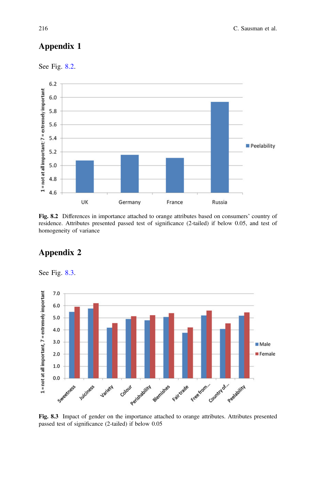



Fig. 8.2 Differences in importance attached to orange attributes based on consumers' country of residence. Attributes presented passed test of significance (2-tailed) if below 0.05, and test of homogeneity of variance

## Appendix 2

See Fig. 8.3.



Fig. 8.3 Impact of gender on the importance attached to orange attributes. Attributes presented passed test of significance (2-tailed) if below 0.05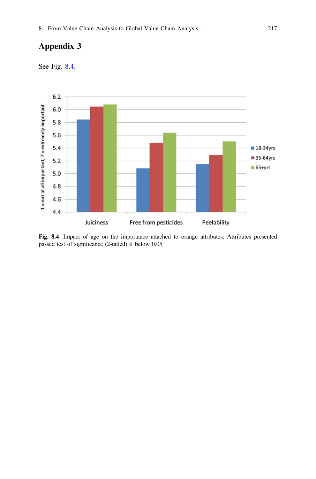See Fig. 8.4.



Fig. 8.4 Impact of age on the importance attached to orange attributes. Attributes presented passed test of significance (2-tailed) if below 0.05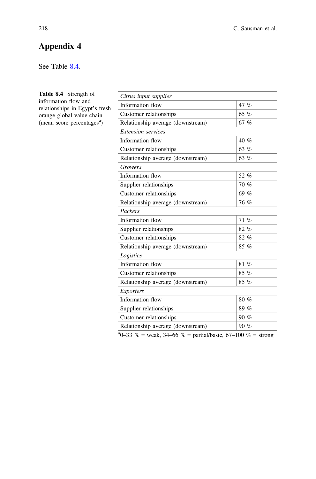See Table 8.4.

| <b>Table 8.4</b> Strength of<br>information flow and<br>relationships in Egypt's fresh<br>orange global value chain<br>(mean score percentages <sup>a</sup> ) | Citrus input supplier             |        |  |  |  |
|---------------------------------------------------------------------------------------------------------------------------------------------------------------|-----------------------------------|--------|--|--|--|
|                                                                                                                                                               | Information flow                  | 47 $%$ |  |  |  |
|                                                                                                                                                               | Customer relationships            | 65 %   |  |  |  |
|                                                                                                                                                               | Relationship average (downstream) | 67%    |  |  |  |
|                                                                                                                                                               | <b>Extension services</b>         |        |  |  |  |
|                                                                                                                                                               | Information flow                  | 40 %   |  |  |  |
|                                                                                                                                                               | Customer relationships            | 63 %   |  |  |  |
|                                                                                                                                                               | Relationship average (downstream) | 63 %   |  |  |  |
|                                                                                                                                                               | <b>Growers</b>                    |        |  |  |  |
|                                                                                                                                                               | Information flow                  | 52 %   |  |  |  |
|                                                                                                                                                               | Supplier relationships            | 70 %   |  |  |  |
|                                                                                                                                                               | Customer relationships            | 69 %   |  |  |  |
|                                                                                                                                                               | Relationship average (downstream) | 76 %   |  |  |  |
|                                                                                                                                                               | Packers                           |        |  |  |  |
|                                                                                                                                                               | Information flow                  | 71 %   |  |  |  |
|                                                                                                                                                               | Supplier relationships            | 82 %   |  |  |  |
|                                                                                                                                                               | Customer relationships            | 82%    |  |  |  |
|                                                                                                                                                               | Relationship average (downstream) | 85 %   |  |  |  |
|                                                                                                                                                               | Logistics                         |        |  |  |  |
|                                                                                                                                                               | Information flow                  | 81 %   |  |  |  |
|                                                                                                                                                               | Customer relationships            | 85 %   |  |  |  |
|                                                                                                                                                               | Relationship average (downstream) | 85 %   |  |  |  |
|                                                                                                                                                               | <b>Exporters</b>                  |        |  |  |  |
|                                                                                                                                                               | Information flow                  | 80%    |  |  |  |
|                                                                                                                                                               | Supplier relationships            | 89%    |  |  |  |
|                                                                                                                                                               | Customer relationships            | 90 %   |  |  |  |
|                                                                                                                                                               | Relationship average (downstream) | 90 %   |  |  |  |

 $^{\circ}0-33$  % = weak, 34–66 % = partial/basic, 67–100 % = strong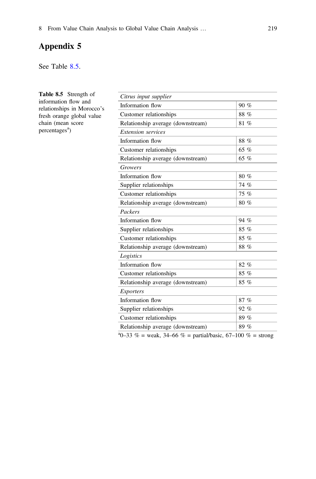See Table 8.5.

| Table 8.5 Strength of<br>information flow and<br>relationships in Morocco's<br>fresh orange global value | Citrus input supplier                                                               |        |  |  |
|----------------------------------------------------------------------------------------------------------|-------------------------------------------------------------------------------------|--------|--|--|
|                                                                                                          | Information flow                                                                    | 90 %   |  |  |
|                                                                                                          | Customer relationships                                                              | 88 %   |  |  |
| chain (mean score                                                                                        | Relationship average (downstream)                                                   | 81 %   |  |  |
| percentages <sup>a</sup> )                                                                               | <b>Extension</b> services                                                           |        |  |  |
|                                                                                                          | Information flow                                                                    | 88 %   |  |  |
|                                                                                                          | Customer relationships                                                              | 65 %   |  |  |
|                                                                                                          | Relationship average (downstream)                                                   | 65 %   |  |  |
|                                                                                                          | Growers                                                                             |        |  |  |
|                                                                                                          | Information flow                                                                    | 80 %   |  |  |
|                                                                                                          | Supplier relationships                                                              | 74 %   |  |  |
|                                                                                                          | Customer relationships                                                              | 75 %   |  |  |
|                                                                                                          | Relationship average (downstream)                                                   | 80 %   |  |  |
|                                                                                                          | Packers                                                                             |        |  |  |
|                                                                                                          | Information flow                                                                    | 94 %   |  |  |
|                                                                                                          | Supplier relationships                                                              | 85 %   |  |  |
|                                                                                                          | Customer relationships                                                              | 85 %   |  |  |
|                                                                                                          | Relationship average (downstream)                                                   | 88 %   |  |  |
|                                                                                                          | Logistics                                                                           |        |  |  |
|                                                                                                          | Information flow                                                                    | 82 %   |  |  |
|                                                                                                          | Customer relationships                                                              | $85\%$ |  |  |
|                                                                                                          | Relationship average (downstream)                                                   | $85\%$ |  |  |
|                                                                                                          | <b>Exporters</b>                                                                    |        |  |  |
|                                                                                                          | Information flow                                                                    | 87 %   |  |  |
|                                                                                                          | Supplier relationships                                                              | 92 %   |  |  |
|                                                                                                          | Customer relationships                                                              | 89 %   |  |  |
|                                                                                                          | Relationship average (downstream)                                                   | 89 %   |  |  |
|                                                                                                          | $\frac{30.22 \text{ dt}}{20.81 \text{ dt}}$ unable 24 66 0 months although 67 100 0 |        |  |  |

 $^{\circ}0-33$  % = weak, 34–66 % = partial/basic, 67–100 % = strong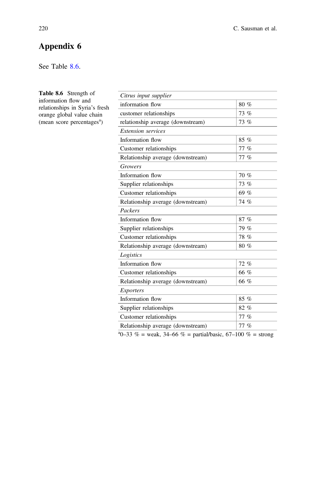See Table 8.6.

| <b>Table 8.6</b> Strength of<br>information flow and<br>relationships in Syria's fresh<br>orange global value chain | Citrus input supplier             |        |  |  |  |
|---------------------------------------------------------------------------------------------------------------------|-----------------------------------|--------|--|--|--|
|                                                                                                                     | information flow                  | 80 %   |  |  |  |
|                                                                                                                     | customer relationships            | 73%    |  |  |  |
| (mean score percentages <sup>a</sup> )                                                                              | relationship average (downstream) | 73 %   |  |  |  |
|                                                                                                                     | <b>Extension services</b>         |        |  |  |  |
|                                                                                                                     | Information flow                  | 85 %   |  |  |  |
|                                                                                                                     | Customer relationships            | 77%    |  |  |  |
|                                                                                                                     | Relationship average (downstream) | 77%    |  |  |  |
|                                                                                                                     | <b>Growers</b>                    |        |  |  |  |
|                                                                                                                     | Information flow                  | 70 %   |  |  |  |
|                                                                                                                     | Supplier relationships            | 73%    |  |  |  |
|                                                                                                                     | Customer relationships            | 69 %   |  |  |  |
|                                                                                                                     | Relationship average (downstream) | 74 %   |  |  |  |
|                                                                                                                     | Packers                           |        |  |  |  |
|                                                                                                                     | Information flow                  | 87 %   |  |  |  |
|                                                                                                                     | Supplier relationships            | 79 %   |  |  |  |
|                                                                                                                     | Customer relationships            | 78 %   |  |  |  |
|                                                                                                                     | Relationship average (downstream) | 80%    |  |  |  |
|                                                                                                                     | Logistics                         |        |  |  |  |
|                                                                                                                     | Information flow                  | 72%    |  |  |  |
|                                                                                                                     | Customer relationships            | 66 %   |  |  |  |
|                                                                                                                     | Relationship average (downstream) | 66 %   |  |  |  |
|                                                                                                                     | <b>Exporters</b>                  |        |  |  |  |
|                                                                                                                     | Information flow                  | 85 %   |  |  |  |
|                                                                                                                     | Supplier relationships            | 82%    |  |  |  |
|                                                                                                                     | Customer relationships            | $77\%$ |  |  |  |
|                                                                                                                     | Relationship average (downstream) | 77%    |  |  |  |

<sup>a</sup>0–33 % = weak, 34–66 % = partial/basic, 67–100 % = strong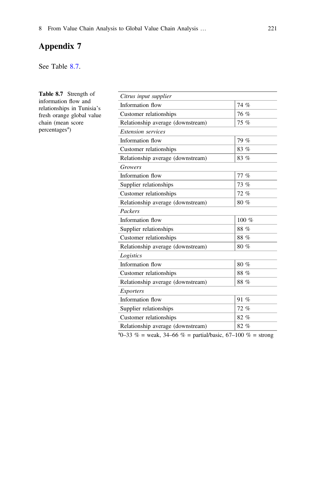See Table 8.7.

| Table 8.7 Strength of<br>information flow and<br>relationships in Tunisia's<br>fresh orange global value | Citrus input supplier             |        |  |  |  |
|----------------------------------------------------------------------------------------------------------|-----------------------------------|--------|--|--|--|
|                                                                                                          | Information flow                  | 74 %   |  |  |  |
|                                                                                                          | Customer relationships            | 76 %   |  |  |  |
| chain (mean score                                                                                        | Relationship average (downstream) | $75\%$ |  |  |  |
| percentages <sup>a</sup> )                                                                               | <b>Extension</b> services         |        |  |  |  |
|                                                                                                          | Information flow                  | 79 %   |  |  |  |
|                                                                                                          | Customer relationships            | 83 %   |  |  |  |
|                                                                                                          | Relationship average (downstream) | 83 %   |  |  |  |
|                                                                                                          | Growers                           |        |  |  |  |
|                                                                                                          | Information flow                  | 77%    |  |  |  |
|                                                                                                          | Supplier relationships            | $73\%$ |  |  |  |
|                                                                                                          | Customer relationships            | 72%    |  |  |  |
|                                                                                                          | Relationship average (downstream) | 80%    |  |  |  |
|                                                                                                          | Packers                           |        |  |  |  |
|                                                                                                          | Information flow                  | 100 %  |  |  |  |
|                                                                                                          | Supplier relationships            | 88 %   |  |  |  |
|                                                                                                          | Customer relationships            | 88 %   |  |  |  |
|                                                                                                          | Relationship average (downstream) | $80\%$ |  |  |  |
|                                                                                                          | Logistics                         |        |  |  |  |
|                                                                                                          | Information flow                  | 80%    |  |  |  |
|                                                                                                          | Customer relationships            | 88 %   |  |  |  |
|                                                                                                          | Relationship average (downstream) | 88 %   |  |  |  |
|                                                                                                          | Exporters                         |        |  |  |  |
|                                                                                                          | Information flow                  | 91 %   |  |  |  |
|                                                                                                          | Supplier relationships            | 72%    |  |  |  |
|                                                                                                          | Customer relationships            | 82 %   |  |  |  |
|                                                                                                          | Relationship average (downstream) | 82 %   |  |  |  |
|                                                                                                          |                                   |        |  |  |  |

 $^{\circ}0-33$  % = weak, 34–66 % = partial/basic, 67–100 % = strong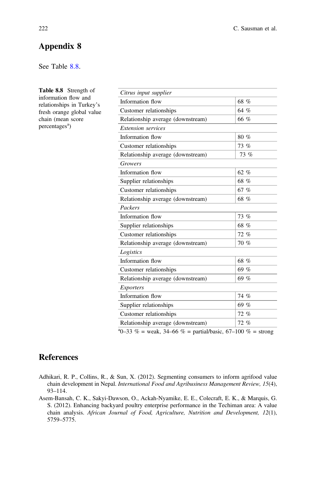<span id="page-27-0"></span>See Table 8.8.

| Citrus input supplier             |        |  |  |  |
|-----------------------------------|--------|--|--|--|
| Information flow                  | 68 %   |  |  |  |
| Customer relationships            | 64 %   |  |  |  |
| Relationship average (downstream) | 66 %   |  |  |  |
| <b>Extension services</b>         |        |  |  |  |
| Information flow                  | 80%    |  |  |  |
| Customer relationships            | $73\%$ |  |  |  |
| Relationship average (downstream) | 73 %   |  |  |  |
| <b>Growers</b>                    |        |  |  |  |
| Information flow                  | 62 %   |  |  |  |
| Supplier relationships            | 68 %   |  |  |  |
| Customer relationships            | 67%    |  |  |  |
| Relationship average (downstream) | 68 %   |  |  |  |
| Packers                           |        |  |  |  |
| Information flow                  | $73\%$ |  |  |  |
| Supplier relationships            | 68 %   |  |  |  |
| Customer relationships            | 72%    |  |  |  |
| Relationship average (downstream) | 70%    |  |  |  |
| Logistics                         |        |  |  |  |
| Information flow                  | 68 %   |  |  |  |
| Customer relationships            | 69 %   |  |  |  |
| Relationship average (downstream) | 69 %   |  |  |  |
| <b>Exporters</b>                  |        |  |  |  |
| Information flow                  | 74 %   |  |  |  |
| Supplier relationships            | 69 %   |  |  |  |
| Customer relationships            | 72%    |  |  |  |
| Relationship average (downstream) | 72 %   |  |  |  |
|                                   |        |  |  |  |

 $^{\circ}0-33$  % = weak, 34–66 % = partial/basic, 67–100 % = strong

#### References

- Adhikari, R. P., Collins, R., & Sun, X. (2012). Segmenting consumers to inform agrifood value chain development in Nepal. *International Food and Agribusiness Management Review, 15*(4), 93–114.
- Asem-Bansah, C. K., Sakyi-Dawson, O., Ackah-Nyamike, E. E., Colecraft, E. K., & Marquis, G. S. (2012). Enhancing backyard poultry enterprise performance in the Techiman area: A value chain analysis. *African Journal of Food, Agriculture, Nutrition and Development, 12*(1), 5759–5775.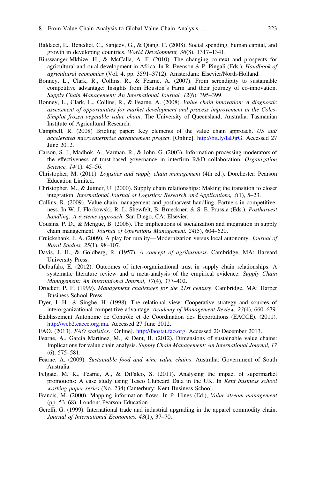- <span id="page-28-0"></span>Baldacci, E., Benedict, C., Sanjeev, G., & Qiang, C. (2008). Social spending, human capital, and growth in developing countries. *World Development, 36*(8), 1317–1341.
- Binswanger-Mkhize, H., & McCalla, A. F. (2010). The changing context and prospects for agricultural and rural development in Africa. In R. Evenson & P. Pingali (Eds.), *Handbook of agricultural economics* (Vol. 4, pp. 3591–3712). Amsterdam: Elsevier/North-Holland.
- Bonney, L., Clark, R., Collins, R., & Fearne, A. (2007). From serendipity to sustainable competitive advantage: Insights from Houston's Farm and their journey of co-innovation. *Supply Chain Management: An International Journal, 12*(6), 395–399.
- Bonney, L., Clark, L., Collins, R., & Fearne, A. (2008). *Value chain innovation: A diagnostic assessment of opportunities for market development and process improvement in the Coles-Simplot frozen vegetable value chain*. The University of Queensland, Australia: Tasmanian Institute of Agricultural Research.
- Campbell, R. (2008) Briefing paper: Key elements of the value chain approach. *US aid/ accelerated microenterprise advancement project*. [Online]. <http://bit.ly/laDjrG>. Accessed 27 June 2012.
- Carson, S. J., Madhok, A., Varman, R., & John, G. (2003). Information processing moderators of the effectiveness of trust-based governance in interfirm R&D collaboration. *Organization Science, 14*(1), 45–56.
- Christopher, M. (2011). *Logistics and supply chain management* (4th ed.). Dorchester: Pearson Education Limited.
- Christopher, M., & Juttner, U. (2000). Supply chain relationships: Making the transition to closer integration. *International Journal of Logistics: Research and Applications, 3*(1), 5–23.
- Collins, R. (2009). Value chain management and postharvest handling: Partners in competitiveness. In W. J. Florkowski, R. L. Shewfelt, B. Brueckner, & S. E. Prussia (Eds.), *Postharvest handling: A systems approach*. San Diego, CA: Elsevier.
- Cousins, P. D., & Menguc, B. (2006). The implications of socialization and integration in supply chain management. *Journal of Operations Management, 24*(5), 604–620.
- Cruickshank, J. A. (2009). A play for rurality—Modernization versus local autonomy. *Journal of Rural Studies, 25*(1), 98–107.
- Davis, J. H., & Goldberg, R. (1957). *A concept of agribusiness*. Cambridge, MA: Harvard University Press.
- Delbufalo, E. (2012). Outcomes of inter-organizational trust in supply chain relationships: A systematic literature review and a meta-analysis of the empirical evidence. *Supply Chain Management: An International Journal, 17*(4), 377–402.
- Drucker, P. F. (1999). *Management challenges for the 21st century*. Cambridge, MA: Harper Business School Press.
- Dyer, J. H., & Singhe, H. (1998). The relational view: Cooperative strategy and sources of interorganizational competitive advantage. *Academy of Management Review, 23*(4), 660–679.
- Etablissement Autonome de Contrôle et de Coordination des Exportations (EACCE). (2011). <http://web2.eacce.org.ma>. Accessed 27 June 2012.
- FAO. (2013). *FAO statistics*. [Online]. [http://faostat.fao.org.](http://faostat.fao.org) Accessed 20 December 2013.
- Fearne, A., Garcia Martinez, M., & Dent, B. (2012). Dimensions of sustainable value chains: Implications for value chain analysis. *Supply Chain Management: An International Journal, 17* (6), 575–581.
- Fearne, A. (2009). *Sustainable food and wine value chains*. Australia: Government of South Australia.
- Felgate, M. K., Fearne, A., & DiFalco, S. (2011). Analysing the impact of supermarket promotions: A case study using Tesco Clubcard Data in the UK. In *Kent business school working paper series* (No. 234).Canterbury: Kent Business School.
- Francis, M. (2000). Mapping information flows. In P. Hines (Ed.), *Value stream management* (pp. 53–68). London: Pearson Education.
- Gereffi, G. (1999). International trade and industrial upgrading in the apparel commodity chain. *Journal of International Economics, 48*(1), 37–70.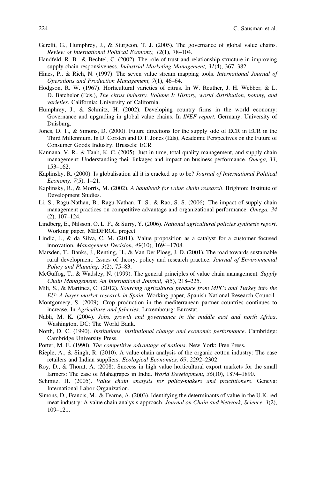- <span id="page-29-0"></span>Gereffi, G., Humphrey, J., & Sturgeon, T. J. (2005). The governance of global value chains. *Review of International Political Economy, 12*(1), 78–104.
- Handfeld, R. B., & Bechtel, C. (2002). The role of trust and relationship structure in improving supply chain responsiveness. *Industrial Marketing Management, 31*(4), 367–382.
- Hines, P., & Rich, N. (1997). The seven value stream mapping tools. *International Journal of Operations and Production Management, 7*(1), 46–64.
- Hodgson, R. W. (1967). Horticultural varieties of citrus. In W. Reuther, J. H. Webber, & L. D. Batchelor (Eds.), *The citrus industry. Volume I: History, world distribution, botany, and varieties*. California: University of California.
- Humphrey, J., & Schmitz, H. (2002). Developing country firms in the world economy: Governance and upgrading in global value chains. In *INEF report.* Germany: University of Duisburg.
- Jones, D. T., & Simons, D. (2000). Future directions for the supply side of ECR in ECR in the Third Millennium. In D. Corsten and D.T. Jones (Eds), Academic Perspectives on the Future of Consumer Goods Industry. Brussels: ECR
- Kannana, V. R., & Tanb, K. C. (2005). Just in time, total quality management, and supply chain management: Understanding their linkages and impact on business performance. *Omega, 33*, 153–162.
- Kaplinsky, R. (2000). Is globalisation all it is cracked up to be? *Journal of International Political Economy, 7*(5), 1–21.
- Kaplinsky, R., & Morris, M. (2002). *A handbook for value chain research*. Brighton: Institute of Development Studies.
- Li, S., Ragu-Nathan, B., Ragu-Nathan, T. S., & Rao, S. S. (2006). The impact of supply chain management practices on competitive advantage and organizational performance. *Omega, 34* (2), 107–124.
- Lindberg, E., Nilsson, O. L. F., & Surry, Y. (2006). *National agricultural policies synthesis report*. Working paper, MEDFROL project.
- Lindic, J., & da Silva, C. M. (2011). Value proposition as a catalyst for a customer focused innovation. *Management Decision, 49*(10), 1694–1708.
- Marsden, T., Banks, J., Renting, H., & Van Der Ploeg, J. D. (2001). The road towards sustainable rural development: Issues of theory, policy and research practice. *Journal of Environmental Policy and Planning, 3*(2), 75–83.
- McGuffog, T., & Wadsley, N. (1999). The general principles of value chain management. *Supply Chain Management: An International Journal, 4*(5), 218–225.
- Mili, S., & Martínez, C. (2012). *Sourcing agricultural produce from MPCs and Turkey into the EU: A buyer market research in Spain*. Working paper, Spanish National Research Council.
- Montgomery, S. (2009). Crop production in the mediterranean partner countries continues to increase. In *Agriculture and* fi*sheries*. Luxembourg: Eurostat.
- Nabli, M. K. (2004). *Jobs, growth and governance in the middle east and north Africa*. Washington, DC: The World Bank.
- North, D. C. (1990). *Institutions, institutional change and economic performance*. Cambridge: Cambridge University Press.
- Porter, M. E. (1990). *The competitive advantage of nations*. New York: Free Press.
- Rieple, A., & Singh, R. (2010). A value chain analysis of the organic cotton industry: The case retailers and Indian suppliers. *Ecological Economics, 69*, 2292–2302.
- Roy, D., & Thorat, A. (2008). Success in high value horticultural export markets for the small farmers: The case of Mahagrapes in India. *World Development, 36*(10), 1874–1890.
- Schmitz, H. (2005). *Value chain analysis for policy-makers and practitioners*. Geneva: International Labor Organization.
- Simons, D., Francis, M., & Fearne, A. (2003). Identifying the determinants of value in the U.K. red meat industry: A value chain analysis approach. *Journal on Chain and Network, Science, 3*(2), 109–121.